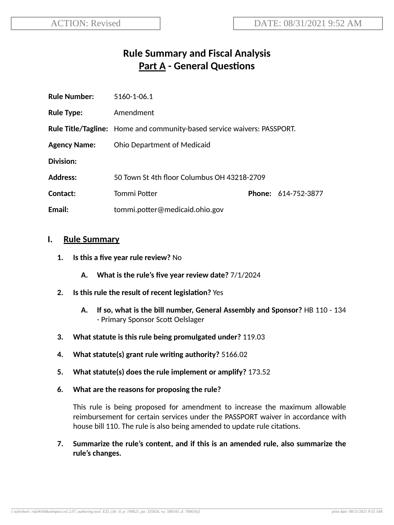# **Rule Summary and Fiscal Analysis Part A** - General Questions

| <b>Rule Number:</b> | 5160-1-06.1                                                                    |  |                            |
|---------------------|--------------------------------------------------------------------------------|--|----------------------------|
| <b>Rule Type:</b>   | Amendment                                                                      |  |                            |
|                     | <b>Rule Title/Tagline:</b> Home and community-based service waivers: PASSPORT. |  |                            |
| <b>Agency Name:</b> | <b>Ohio Department of Medicaid</b>                                             |  |                            |
| Division:           |                                                                                |  |                            |
| <b>Address:</b>     | 50 Town St 4th floor Columbus OH 43218-2709                                    |  |                            |
| Contact:            | Tommi Potter                                                                   |  | <b>Phone: 614-752-3877</b> |
| Email:              | tommi.potter@medicaid.ohio.gov                                                 |  |                            |

#### **I. Rule Summary**

- **1. Is this a five year rule review?** No
	- **A. What is the rule's five year review date?** 7/1/2024
- **2. Is this rule the result of recent legislaon?** Yes
	- **A. If so, what is the bill number, General Assembly and Sponsor?** HB 110 134 - Primary Sponsor Scott Oelslager
- **3. What statute is this rule being promulgated under?** 119.03
- **4. What statute(s) grant rule wring authority?** 5166.02
- **5. What statute(s) does the rule implement or amplify?** 173.52
- **6. What are the reasons for proposing the rule?**

This rule is being proposed for amendment to increase the maximum allowable reimbursement for certain services under the PASSPORT waiver in accordance with house bill 110. The rule is also being amended to update rule citations.

**7. Summarize the rule's content, and if this is an amended rule, also summarize the rule's changes.**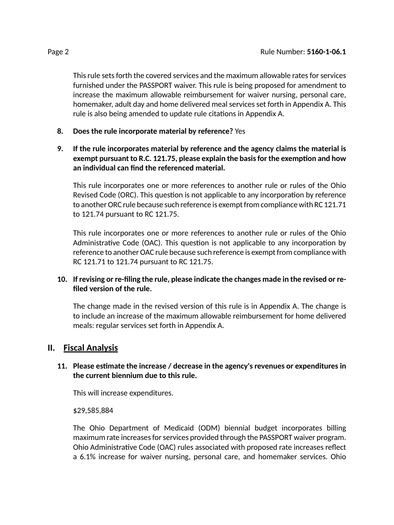This rule sets forth the covered services and the maximum allowable rates for services furnished under the PASSPORT waiver. This rule is being proposed for amendment to increase the maximum allowable reimbursement for waiver nursing, personal care, homemaker, adult day and home delivered meal services set forth in Appendix A. This rule is also being amended to update rule citations in Appendix A.

- **8. Does the rule incorporate material by reference?** Yes
- **9. If the rule incorporates material by reference and the agency claims the material is exempt pursuant to R.C. 121.75, please explain the basisfor the exempon and how an individual can find the referenced material.**

This rule incorporates one or more references to another rule or rules of the Ohio Revised Code (ORC). This question is not applicable to any incorporation by reference to another ORC rule because such reference is exempt from compliance with RC 121.71 to 121.74 pursuant to RC 121.75.

This rule incorporates one or more references to another rule or rules of the Ohio Administrative Code (OAC). This question is not applicable to any incorporation by reference to another OAC rule because such reference is exempt from compliance with RC 121.71 to 121.74 pursuant to RC 121.75.

### **10. If revising or re-filing the rule, please indicate the changes made in the revised or refiled version of the rule.**

The change made in the revised version of this rule is in Appendix A. The change is to include an increase of the maximum allowable reimbursement for home delivered meals: regular services set forth in Appendix A.

# **II. Fiscal Analysis**

### **11. Please esmate the increase / decrease in the agency's revenues or expenditures in the current biennium due to this rule.**

This will increase expenditures.

#### \$29,585,884

The Ohio Department of Medicaid (ODM) biennial budget incorporates billing maximum rate increases for services provided through the PASSPORT waiver program. Ohio Administrative Code (OAC) rules associated with proposed rate increases reflect a 6.1% increase for waiver nursing, personal care, and homemaker services. Ohio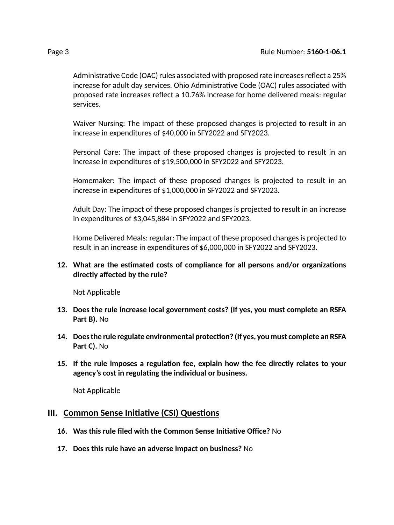Administrative Code (OAC) rules associated with proposed rate increases reflect a 25% increase for adult day services. Ohio Administrative Code (OAC) rules associated with proposed rate increases reflect a 10.76% increase for home delivered meals: regular services.

Waiver Nursing: The impact of these proposed changes is projected to result in an increase in expenditures of \$40,000 in SFY2022 and SFY2023.

Personal Care: The impact of these proposed changes is projected to result in an increase in expenditures of \$19,500,000 in SFY2022 and SFY2023.

Homemaker: The impact of these proposed changes is projected to result in an increase in expenditures of \$1,000,000 in SFY2022 and SFY2023.

Adult Day: The impact of these proposed changes is projected to result in an increase in expenditures of \$3,045,884 in SFY2022 and SFY2023.

Home Delivered Meals: regular: The impact of these proposed changesis projected to result in an increase in expenditures of \$6,000,000 in SFY2022 and SFY2023.

#### **12.** What are the estimated costs of compliance for all persons and/or organizations **directly affected by the rule?**

Not Applicable

- **13. Does the rule increase local government costs? (If yes, you must complete an RSFA Part B).** No
- **14. Doesthe rule regulate environmental protecon? (If yes, you must complete an RSFA Part C).** No
- **15. If the rule imposes a regulaon fee, explain how the fee directly relates to your agency's cost in regulang the individual or business.**

Not Applicable

#### **III.** Common Sense Initiative (CSI) Questions

- **16. Was this rule filed with the Common Sense Iniave Office?** No
- **17. Does this rule have an adverse impact on business?** No